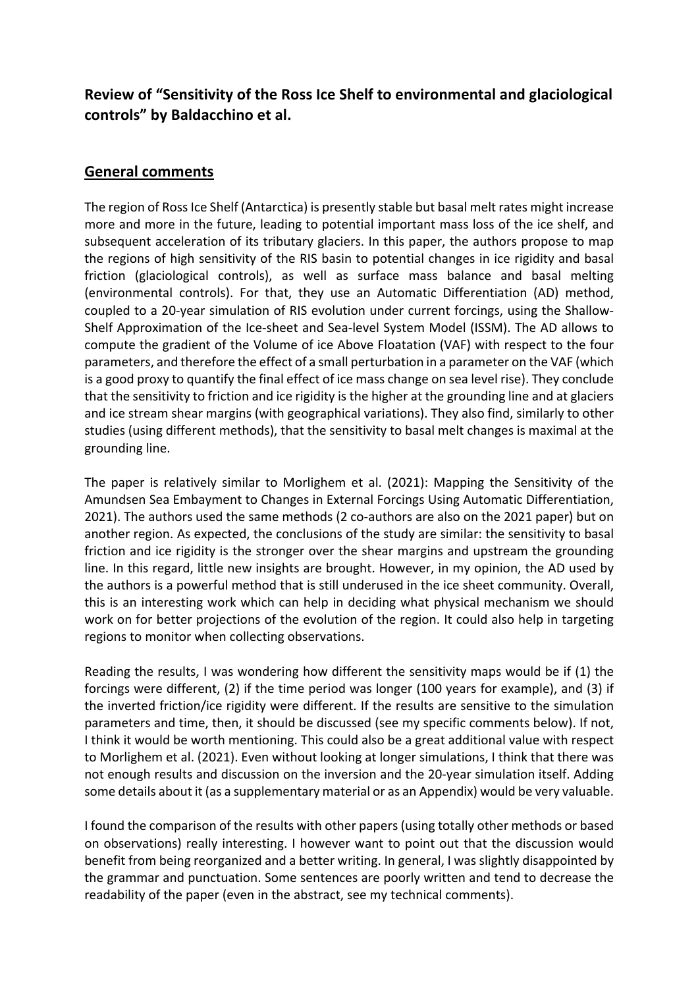**Review of "Sensitivity of the Ross Ice Shelf to environmental and glaciological controls" by Baldacchino et al.** 

## **General comments**

The region of Ross Ice Shelf (Antarctica) is presently stable but basal melt rates might increase more and more in the future, leading to potential important mass loss of the ice shelf, and subsequent acceleration of its tributary glaciers. In this paper, the authors propose to map the regions of high sensitivity of the RIS basin to potential changes in ice rigidity and basal friction (glaciological controls), as well as surface mass balance and basal melting (environmental controls). For that, they use an Automatic Differentiation (AD) method, coupled to a 20-year simulation of RIS evolution under current forcings, using the Shallow-Shelf Approximation of the Ice-sheet and Sea-level System Model (ISSM). The AD allows to compute the gradient of the Volume of ice Above Floatation (VAF) with respect to the four parameters, and therefore the effect of a small perturbation in a parameter on the VAF (which is a good proxy to quantify the final effect of ice mass change on sea level rise). They conclude that the sensitivity to friction and ice rigidity is the higher at the grounding line and at glaciers and ice stream shear margins (with geographical variations). They also find, similarly to other studies (using different methods), that the sensitivity to basal melt changes is maximal at the grounding line.

The paper is relatively similar to Morlighem et al. (2021): Mapping the Sensitivity of the Amundsen Sea Embayment to Changes in External Forcings Using Automatic Differentiation, 2021). The authors used the same methods (2 co-authors are also on the 2021 paper) but on another region. As expected, the conclusions of the study are similar: the sensitivity to basal friction and ice rigidity is the stronger over the shear margins and upstream the grounding line. In this regard, little new insights are brought. However, in my opinion, the AD used by the authors is a powerful method that is still underused in the ice sheet community. Overall, this is an interesting work which can help in deciding what physical mechanism we should work on for better projections of the evolution of the region. It could also help in targeting regions to monitor when collecting observations.

Reading the results, I was wondering how different the sensitivity maps would be if (1) the forcings were different, (2) if the time period was longer (100 years for example), and (3) if the inverted friction/ice rigidity were different. If the results are sensitive to the simulation parameters and time, then, it should be discussed (see my specific comments below). If not, I think it would be worth mentioning. This could also be a great additional value with respect to Morlighem et al. (2021). Even without looking at longer simulations, I think that there was not enough results and discussion on the inversion and the 20-year simulation itself. Adding some details about it (as a supplementary material or as an Appendix) would be very valuable.

I found the comparison of the results with other papers (using totally other methods or based on observations) really interesting. I however want to point out that the discussion would benefit from being reorganized and a better writing. In general, I was slightly disappointed by the grammar and punctuation. Some sentences are poorly written and tend to decrease the readability of the paper (even in the abstract, see my technical comments).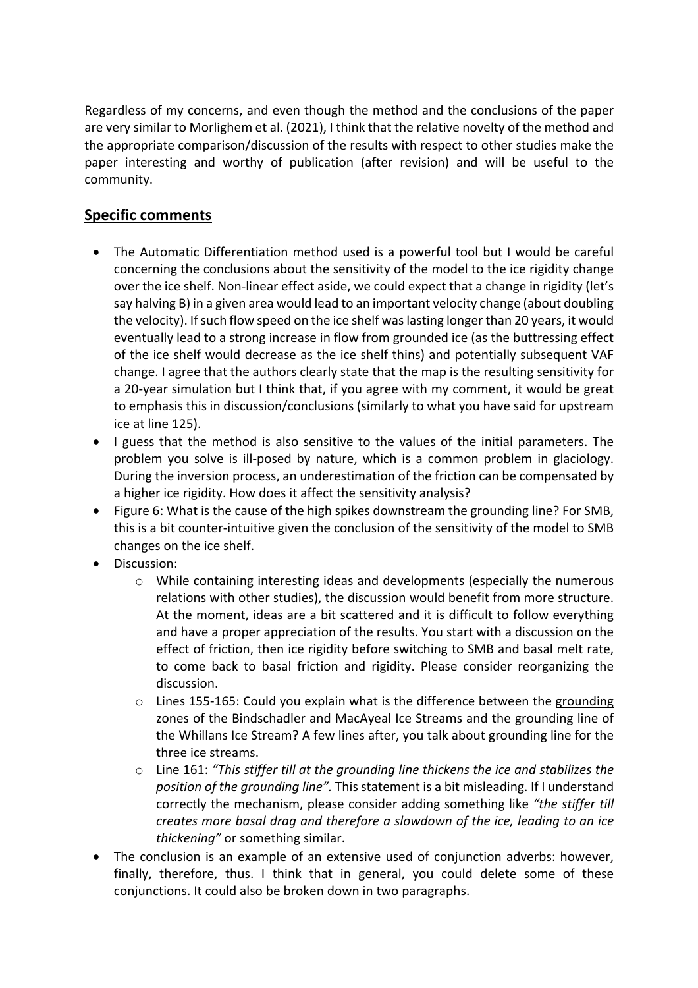Regardless of my concerns, and even though the method and the conclusions of the paper are very similar to Morlighem et al. (2021), I think that the relative novelty of the method and the appropriate comparison/discussion of the results with respect to other studies make the paper interesting and worthy of publication (after revision) and will be useful to the community.

## **Specific comments**

- The Automatic Differentiation method used is a powerful tool but I would be careful concerning the conclusions about the sensitivity of the model to the ice rigidity change over the ice shelf. Non-linear effect aside, we could expect that a change in rigidity (let's say halving B) in a given area would lead to an important velocity change (about doubling the velocity). If such flow speed on the ice shelf was lasting longer than 20 years, it would eventually lead to a strong increase in flow from grounded ice (as the buttressing effect of the ice shelf would decrease as the ice shelf thins) and potentially subsequent VAF change. I agree that the authors clearly state that the map is the resulting sensitivity for a 20-year simulation but I think that, if you agree with my comment, it would be great to emphasis this in discussion/conclusions (similarly to what you have said for upstream ice at line 125).
- I guess that the method is also sensitive to the values of the initial parameters. The problem you solve is ill-posed by nature, which is a common problem in glaciology. During the inversion process, an underestimation of the friction can be compensated by a higher ice rigidity. How does it affect the sensitivity analysis?
- Figure 6: What is the cause of the high spikes downstream the grounding line? For SMB, this is a bit counter-intuitive given the conclusion of the sensitivity of the model to SMB changes on the ice shelf.
- Discussion:
	- o While containing interesting ideas and developments (especially the numerous relations with other studies), the discussion would benefit from more structure. At the moment, ideas are a bit scattered and it is difficult to follow everything and have a proper appreciation of the results. You start with a discussion on the effect of friction, then ice rigidity before switching to SMB and basal melt rate, to come back to basal friction and rigidity. Please consider reorganizing the discussion.
	- o Lines 155-165: Could you explain what is the difference between the grounding zones of the Bindschadler and MacAyeal Ice Streams and the grounding line of the Whillans Ice Stream? A few lines after, you talk about grounding line for the three ice streams.
	- o Line 161: *"This stiffer till at the grounding line thickens the ice and stabilizes the position of the grounding line".* This statement is a bit misleading. If I understand correctly the mechanism, please consider adding something like *"the stiffer till creates more basal drag and therefore a slowdown of the ice, leading to an ice thickening"* or something similar.
- The conclusion is an example of an extensive used of conjunction adverbs: however, finally, therefore, thus. I think that in general, you could delete some of these conjunctions. It could also be broken down in two paragraphs.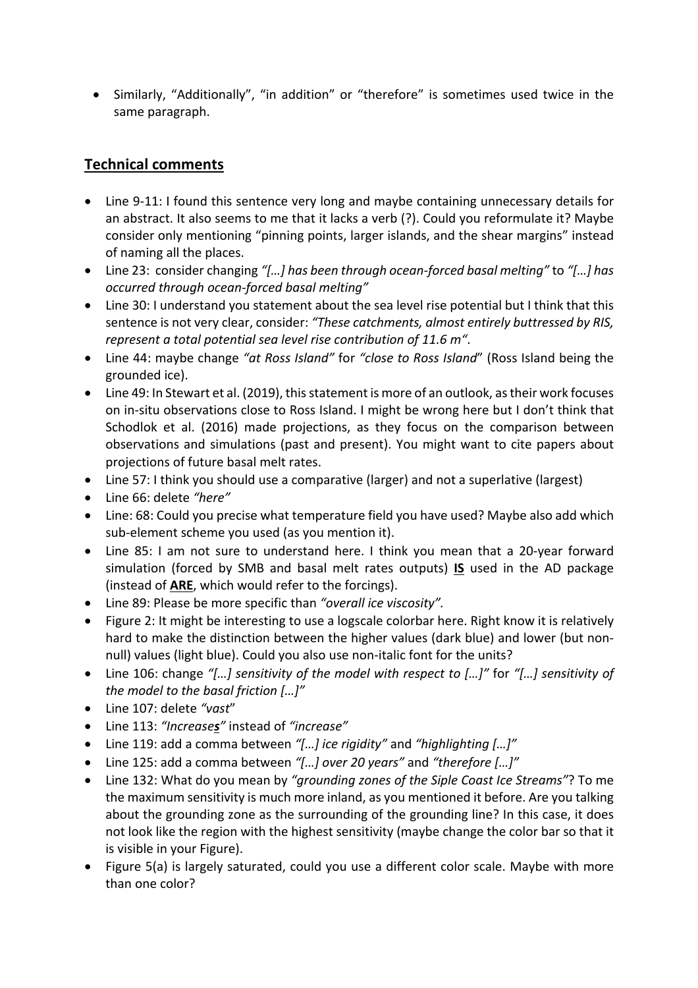• Similarly, "Additionally", "in addition" or "therefore" is sometimes used twice in the same paragraph.

## **Technical comments**

- Line 9-11: I found this sentence very long and maybe containing unnecessary details for an abstract. It also seems to me that it lacks a verb (?). Could you reformulate it? Maybe consider only mentioning "pinning points, larger islands, and the shear margins" instead of naming all the places.
- Line 23: consider changing *"[…] has been through ocean-forced basal melting"* to *"[…] has occurred through ocean-forced basal melting"*
- Line 30: I understand you statement about the sea level rise potential but I think that this sentence is not very clear, consider: *"These catchments, almost entirely buttressed by RIS, represent a total potential sea level rise contribution of 11.6 m"*.
- Line 44: maybe change *"at Ross Island"* for *"close to Ross Island*" (Ross Island being the grounded ice).
- Line 49: In Stewart et al. (2019), this statement is more of an outlook, as their work focuses on in-situ observations close to Ross Island. I might be wrong here but I don't think that Schodlok et al. (2016) made projections, as they focus on the comparison between observations and simulations (past and present). You might want to cite papers about projections of future basal melt rates.
- Line 57: I think you should use a comparative (larger) and not a superlative (largest)
- Line 66: delete *"here"*
- Line: 68: Could you precise what temperature field you have used? Maybe also add which sub-element scheme you used (as you mention it).
- Line 85: I am not sure to understand here. I think you mean that a 20-year forward simulation (forced by SMB and basal melt rates outputs) **IS** used in the AD package (instead of **ARE**, which would refer to the forcings).
- Line 89: Please be more specific than *"overall ice viscosity".*
- Figure 2: It might be interesting to use a logscale colorbar here. Right know it is relatively hard to make the distinction between the higher values (dark blue) and lower (but nonnull) values (light blue). Could you also use non-italic font for the units?
- Line 106: change *"[…] sensitivity of the model with respect to […]"* for *"[…] sensitivity of the model to the basal friction […]"*
- Line 107: delete *"vast*"
- Line 113: *"Increases"* instead of *"increase"*
- Line 119: add a comma between *"[…] ice rigidity"* and *"highlighting […]"*
- Line 125: add a comma between *"[…] over 20 years"* and *"therefore […]"*
- Line 132: What do you mean by *"grounding zones of the Siple Coast Ice Streams"*? To me the maximum sensitivity is much more inland, as you mentioned it before. Are you talking about the grounding zone as the surrounding of the grounding line? In this case, it does not look like the region with the highest sensitivity (maybe change the color bar so that it is visible in your Figure).
- Figure 5(a) is largely saturated, could you use a different color scale. Maybe with more than one color?